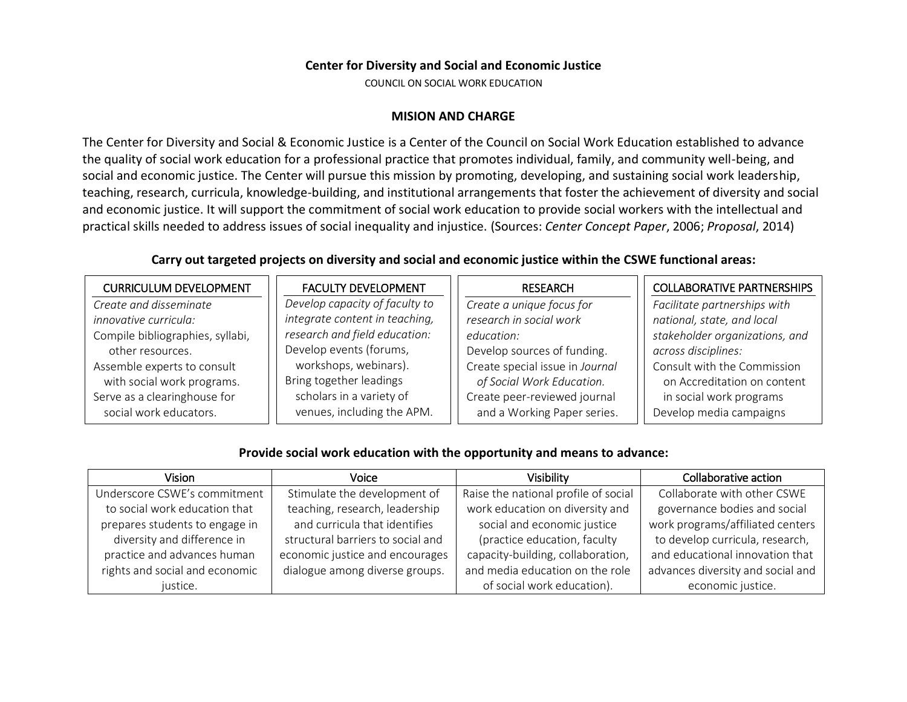#### **Center for Diversity and Social and Economic Justice**

COUNCIL ON SOCIAL WORK EDUCATION

#### **MISION AND CHARGE**

The Center for Diversity and Social & Economic Justice is a Center of the Council on Social Work Education established to advance the quality of social work education for a professional practice that promotes individual, family, and community well-being, and social and economic justice. The Center will pursue this mission by promoting, developing, and sustaining social work leadership, teaching, research, curricula, knowledge-building, and institutional arrangements that foster the achievement of diversity and social and economic justice. It will support the commitment of social work education to provide social workers with the intellectual and practical skills needed to address issues of social inequality and injustice. (Sources: *Center Concept Paper*, 2006; *Proposal*, 2014)

### **Carry out targeted projects on diversity and social and economic justice within the CSWE functional areas:**

| <b>CURRICULUM DEVELOPMENT</b>    | <b>FACULTY DEVELOPMENT</b>     | <b>RESEARCH</b>                 | <b>COLLABORATIVE PARTNERSHIPS</b> |
|----------------------------------|--------------------------------|---------------------------------|-----------------------------------|
| Create and disseminate           | Develop capacity of faculty to | Create a unique focus for       | Facilitate partnerships with      |
| <i>innovative curricula:</i>     | integrate content in teaching, | research in social work         | national, state, and local        |
| Compile bibliographies, syllabi, | research and field education:  | education:                      | stakeholder organizations, and    |
| other resources.                 | Develop events (forums,        | Develop sources of funding.     | across disciplines:               |
| Assemble experts to consult      | workshops, webinars).          | Create special issue in Journal | Consult with the Commission       |
| with social work programs.       | Bring together leadings        | of Social Work Education.       | on Accreditation on content       |
| Serve as a clearinghouse for     | scholars in a variety of       | Create peer-reviewed journal    | in social work programs           |
| social work educators.           | venues, including the APM.     | and a Working Paper series.     | Develop media campaigns           |

## **Provide social work education with the opportunity and means to advance:**

| Vision                         | Voice                             | Visibility                           | Collaborative action              |
|--------------------------------|-----------------------------------|--------------------------------------|-----------------------------------|
| Underscore CSWE's commitment   | Stimulate the development of      | Raise the national profile of social | Collaborate with other CSWE       |
| to social work education that  | teaching, research, leadership    | work education on diversity and      | governance bodies and social      |
| prepares students to engage in | and curricula that identifies     | social and economic justice          | work programs/affiliated centers  |
| diversity and difference in    | structural barriers to social and | (practice education, faculty         | to develop curricula, research,   |
| practice and advances human    | economic justice and encourages   | capacity-building, collaboration,    | and educational innovation that   |
| rights and social and economic | dialogue among diverse groups.    | and media education on the role      | advances diversity and social and |
| justice.                       |                                   | of social work education).           | economic justice.                 |